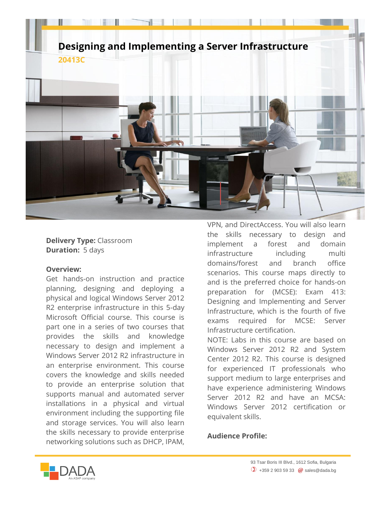

**Delivery Type:** Classroom **Duration:** 5 days

## **Overview:**

Get hands-on instruction and practice planning, designing and deploying a physical and logical Windows Server 2012 R2 enterprise infrastructure in this 5-day Microsoft Official course. This course is part one in a series of two courses that provides the skills and knowledge necessary to design and implement a Windows Server 2012 R2 infrastructure in an enterprise environment. This course covers the knowledge and skills needed to provide an enterprise solution that supports manual and automated server installations in a physical and virtual environment including the supporting file and storage services. You will also learn the skills necessary to provide enterprise networking solutions such as DHCP, IPAM,

VPN, and DirectAccess. You will also learn the skills necessary to design and implement a forest and domain infrastructure including multi domains/forest and branch office scenarios. This course maps directly to and is the preferred choice for hands-on preparation for (MCSE): Exam 413: Designing and Implementing and Server Infrastructure, which is the fourth of five exams required for MCSE: Server Infrastructure certification.

NOTE: Labs in this course are based on Windows Server 2012 R2 and System Center 2012 R2. This course is designed for experienced IT professionals who support medium to large enterprises and have experience administering Windows Server 2012 R2 and have an MCSA: Windows Server 2012 certification or equivalent skills.

## **Audience Profile:**